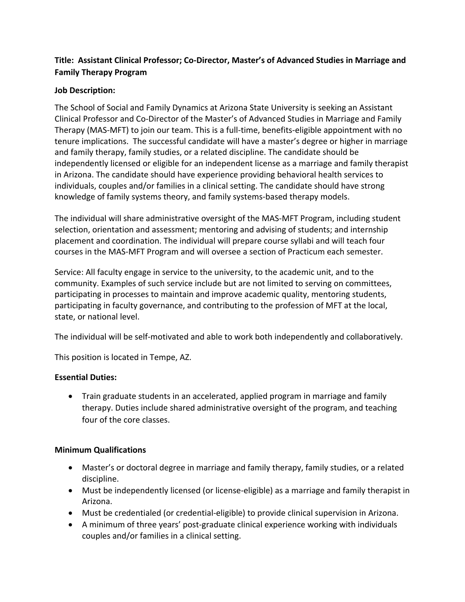# **Title: Assistant Clinical Professor; Co-Director, Master's of Advanced Studies in Marriage and Family Therapy Program**

## **Job Description:**

The School of Social and Family Dynamics at Arizona State University is seeking an Assistant Clinical Professor and Co-Director of the Master's of Advanced Studies in Marriage and Family Therapy (MAS-MFT) to join our team. This is a full-time, benefits-eligible appointment with no tenure implications. The successful candidate will have a master's degree or higher in marriage and family therapy, family studies, or a related discipline. The candidate should be independently licensed or eligible for an independent license as a marriage and family therapist in Arizona. The candidate should have experience providing behavioral health services to individuals, couples and/or families in a clinical setting. The candidate should have strong knowledge of family systems theory, and family systems-based therapy models.

The individual will share administrative oversight of the MAS-MFT Program, including student selection, orientation and assessment; mentoring and advising of students; and internship placement and coordination. The individual will prepare course syllabi and will teach four courses in the MAS-MFT Program and will oversee a section of Practicum each semester.

Service: All faculty engage in service to the university, to the academic unit, and to the community. Examples of such service include but are not limited to serving on committees, participating in processes to maintain and improve academic quality, mentoring students, participating in faculty governance, and contributing to the profession of MFT at the local, state, or national level.

The individual will be self-motivated and able to work both independently and collaboratively.

This position is located in Tempe, AZ.

## **Essential Duties:**

• Train graduate students in an accelerated, applied program in marriage and family therapy. Duties include shared administrative oversight of the program, and teaching four of the core classes.

### **Minimum Qualifications**

- Master's or doctoral degree in marriage and family therapy, family studies, or a related discipline.
- Must be independently licensed (or license-eligible) as a marriage and family therapist in Arizona.
- Must be credentialed (or credential-eligible) to provide clinical supervision in Arizona.
- A minimum of three years' post-graduate clinical experience working with individuals couples and/or families in a clinical setting.